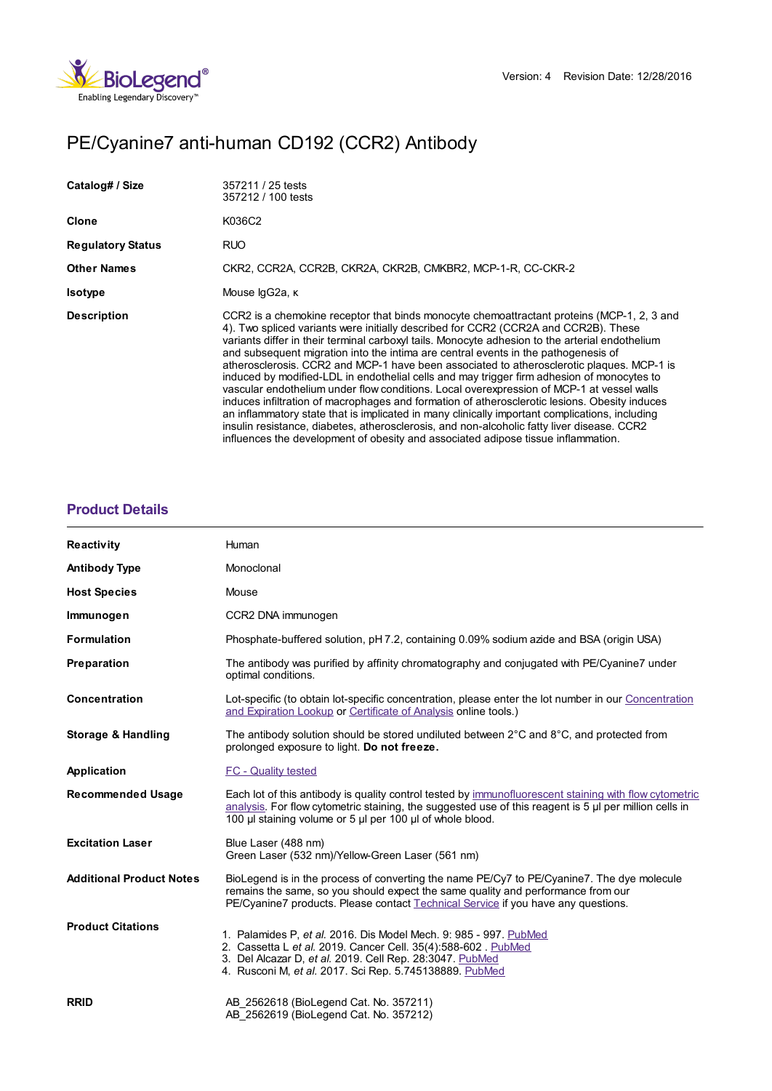

# PE/Cyanine7 anti-human CD192 (CCR2) Antibody

| Catalog# / Size          | 357211 / 25 tests<br>357212 / 100 tests                                                                                                                                                                                                                                                                                                                                                                                                                                                                                                                                                                                                                                                                                                                                                                                                                                                                                                                                                                                                                  |
|--------------------------|----------------------------------------------------------------------------------------------------------------------------------------------------------------------------------------------------------------------------------------------------------------------------------------------------------------------------------------------------------------------------------------------------------------------------------------------------------------------------------------------------------------------------------------------------------------------------------------------------------------------------------------------------------------------------------------------------------------------------------------------------------------------------------------------------------------------------------------------------------------------------------------------------------------------------------------------------------------------------------------------------------------------------------------------------------|
| Clone                    | K036C2                                                                                                                                                                                                                                                                                                                                                                                                                                                                                                                                                                                                                                                                                                                                                                                                                                                                                                                                                                                                                                                   |
| <b>Regulatory Status</b> | RUO                                                                                                                                                                                                                                                                                                                                                                                                                                                                                                                                                                                                                                                                                                                                                                                                                                                                                                                                                                                                                                                      |
| <b>Other Names</b>       | CKR2, CCR2A, CCR2B, CKR2A, CKR2B, CMKBR2, MCP-1-R, CC-CKR-2                                                                                                                                                                                                                                                                                                                                                                                                                                                                                                                                                                                                                                                                                                                                                                                                                                                                                                                                                                                              |
| <b>Isotype</b>           | Mouse lgG2a, к                                                                                                                                                                                                                                                                                                                                                                                                                                                                                                                                                                                                                                                                                                                                                                                                                                                                                                                                                                                                                                           |
| <b>Description</b>       | CCR2 is a chemokine receptor that binds monocyte chemoattractant proteins (MCP-1, 2, 3 and<br>4). Two spliced variants were initially described for CCR2 (CCR2A and CCR2B). These<br>variants differ in their terminal carboxyl tails. Monocyte adhesion to the arterial endothelium<br>and subsequent migration into the intima are central events in the pathogenesis of<br>atherosclerosis. CCR2 and MCP-1 have been associated to atherosclerotic plaques. MCP-1 is<br>induced by modified-LDL in endothelial cells and may trigger firm adhesion of monocytes to<br>vascular endothelium under flow conditions. Local overexpression of MCP-1 at vessel walls<br>induces infiltration of macrophages and formation of atherosclerotic lesions. Obesity induces<br>an inflammatory state that is implicated in many clinically important complications, including<br>insulin resistance, diabetes, atherosclerosis, and non-alcoholic fatty liver disease. CCR2<br>influences the development of obesity and associated adipose tissue inflammation. |

# **[Product](https://www.biolegend.com/en-gb/products/pe-cyanine7-anti-human-cd192-ccr2-antibody-8938?pdf=true&displayInline=true&leftRightMargin=15&topBottomMargin=15&filename=PE/Cyanine7 anti-human CD192 (CCR2) Antibody.pdf#productDetails) Details**

| Reactivity                      | Human                                                                                                                                                                                                                                                                         |
|---------------------------------|-------------------------------------------------------------------------------------------------------------------------------------------------------------------------------------------------------------------------------------------------------------------------------|
| <b>Antibody Type</b>            | Monoclonal                                                                                                                                                                                                                                                                    |
| <b>Host Species</b>             | Mouse                                                                                                                                                                                                                                                                         |
| Immunogen                       | CCR2 DNA immunogen                                                                                                                                                                                                                                                            |
| <b>Formulation</b>              | Phosphate-buffered solution, pH 7.2, containing 0.09% sodium azide and BSA (origin USA)                                                                                                                                                                                       |
| Preparation                     | The antibody was purified by affinity chromatography and conjugated with PE/Cyanine7 under<br>optimal conditions.                                                                                                                                                             |
| Concentration                   | Lot-specific (to obtain lot-specific concentration, please enter the lot number in our Concentration<br>and Expiration Lookup or Certificate of Analysis online tools.)                                                                                                       |
| <b>Storage &amp; Handling</b>   | The antibody solution should be stored undiluted between $2^{\circ}$ C and $8^{\circ}$ C, and protected from<br>prolonged exposure to light. Do not freeze.                                                                                                                   |
| Application                     | <b>FC</b> - Quality tested                                                                                                                                                                                                                                                    |
| <b>Recommended Usage</b>        | Each lot of this antibody is quality control tested by immunofluorescent staining with flow cytometric<br>analysis. For flow cytometric staining, the suggested use of this reagent is 5 µl per million cells in<br>100 µl staining volume or 5 µl per 100 µl of whole blood. |
| <b>Excitation Laser</b>         | Blue Laser (488 nm)<br>Green Laser (532 nm)/Yellow-Green Laser (561 nm)                                                                                                                                                                                                       |
| <b>Additional Product Notes</b> | BioLegend is in the process of converting the name PE/Cy7 to PE/Cyanine7. The dye molecule<br>remains the same, so you should expect the same quality and performance from our<br>PE/Cyanine7 products. Please contact Technical Service if you have any questions.           |
| <b>Product Citations</b>        | 1. Palamides P, et al. 2016. Dis Model Mech. 9: 985 - 997. PubMed<br>2. Cassetta L et al. 2019. Cancer Cell. 35(4):588-602. PubMed<br>3. Del Alcazar D, et al. 2019. Cell Rep. 28:3047. PubMed<br>4. Rusconi M, et al. 2017. Sci Rep. 5.745138889. PubMed                     |
| <b>RRID</b>                     | AB 2562618 (BioLegend Cat. No. 357211)<br>AB 2562619 (BioLegend Cat. No. 357212)                                                                                                                                                                                              |